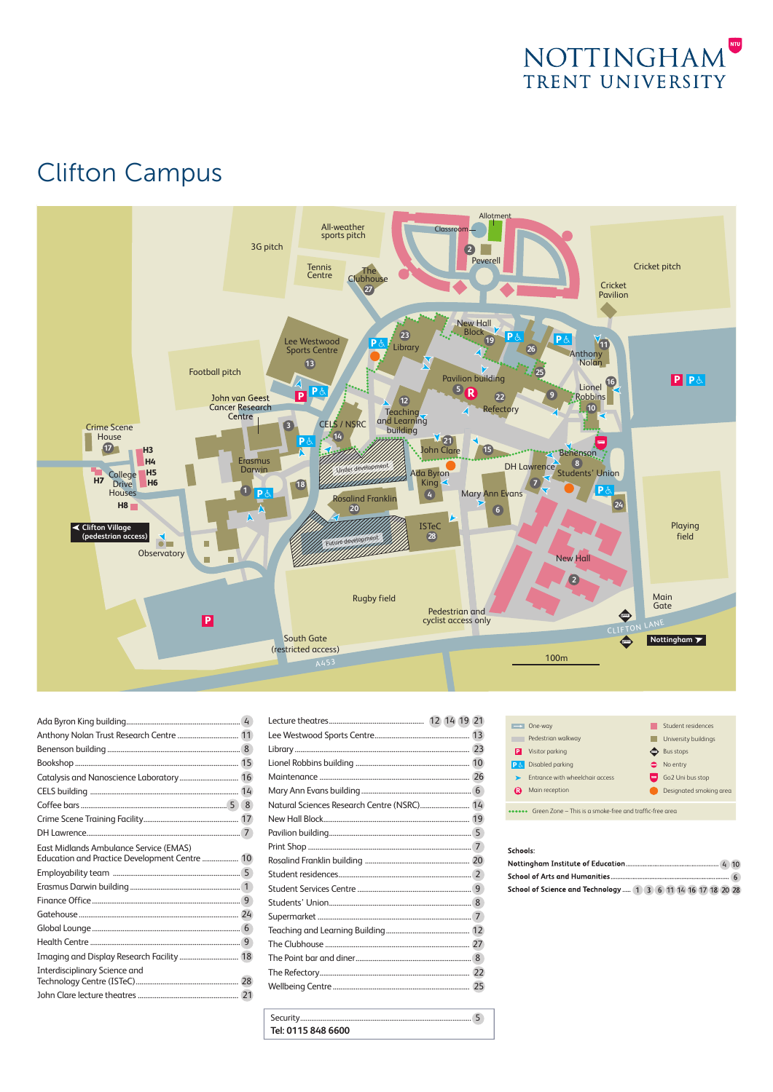

# **Clifton Campus**



| Anthony Nolan Trust Research Centre  11       |  |
|-----------------------------------------------|--|
|                                               |  |
|                                               |  |
| Catalysis and Nanoscience Laboratory 16       |  |
|                                               |  |
|                                               |  |
|                                               |  |
|                                               |  |
| East Midlands Ambulance Service (EMAS)        |  |
| Education and Practice Development Centre  10 |  |
|                                               |  |
|                                               |  |
|                                               |  |
|                                               |  |
|                                               |  |
|                                               |  |
|                                               |  |
| <b>Interdisciplinary Science and</b>          |  |
|                                               |  |
|                                               |  |
|                                               |  |

| Natural Sciences Research Centre (NSRC) 14 |
|--------------------------------------------|
|                                            |
|                                            |
|                                            |
|                                            |
|                                            |
|                                            |
|                                            |
|                                            |
|                                            |
|                                            |
|                                            |
|                                            |
|                                            |
|                                            |

| Tel: 0115 848 6600 |  |
|--------------------|--|
|                    |  |

| One-way                                                 | Student residences      |
|---------------------------------------------------------|-------------------------|
| Pedestrian walkway                                      | University buildings    |
| Visitor parking<br>IP.<br>⊝                             | <b>Bus stops</b>        |
| Disabled parking                                        | No entry                |
| Entrance with wheelchair access                         | Go2 Uni bus stop        |
| Main reception<br>R                                     | Designated smoking area |
| Green Zone – This is a smoke-free and traffic-free area |                         |

#### Schools:

| School of Science and Technology  1 3 6 11 14 16 17 18 20 28 |  |  |  |  |  |  |
|--------------------------------------------------------------|--|--|--|--|--|--|